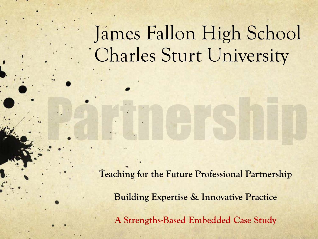# James Fallon High School Charles Sturt University

**Teaching for the Future Professional Partnership Building Expertise & Innovative Practice A Strengths-Based Embedded Case Study**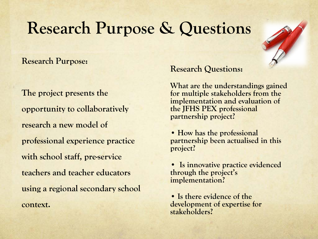## **Research Purpose & Questions**

**Research Purpose:**

**The project presents the opportunity to collaboratively research a new model of professional experience practice with school staff, pre-service teachers and teacher educators using a regional secondary school context.**

#### **Research Questions:**

**What are the understandings gained for multiple stakeholders from the implementation and evaluation of the JFHS PEX professional partnership project?**

**• How has the professional partnership been actualised in this project?**

**• Is innovative practice evidenced through the project's implementation?**

• Is there evidence of the **development of expertise for stakeholders?**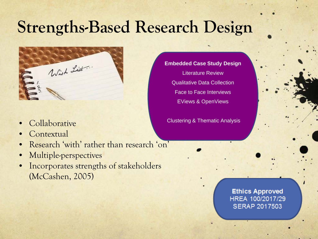# **Strengths-Based Research Design**



- **Collaborative**
- **Contextual**
- Research 'with' rather than research 'on'
- Multiple-perspectives
- Incorporates strengths of stakeholders (McCashen, 2005)

**Embedded Case Study Design** Literature Review Qualitative Data Collection Face to Face Interviews EViews & OpenViews

Clustering & Thematic Analysis

**Ethics Approved** HREA 100/2017/29 **SERAP 2017503**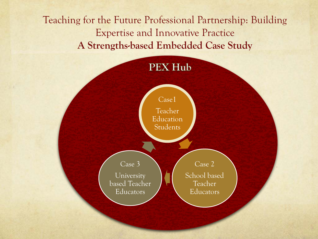Teaching for the Future Professional Partnership: Building Expertise and Innovative Practice **A Strengths-based Embedded Case Study**

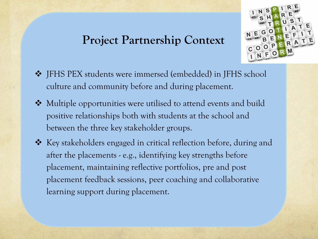## **Project Partnership Context**



- JFHS PEX students were immersed (embedded) in JFHS school culture and community before and during placement.
- ◆ Multiple opportunities were utilised to attend events and build positive relationships both with students at the school and between the three key stakeholder groups.
- $\triangle$  Key stakeholders engaged in critical reflection before, during and after the placements - e.g., identifying key strengths before placement, maintaining reflective portfolios, pre and post placement feedback sessions, peer coaching and collaborative learning support during placement.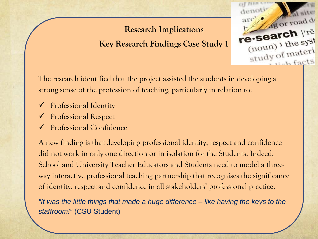### **Research Implications**

**Key Research Findings Case Study 1**



The research identified that the project assisted the students in developing a strong sense of the profession of teaching, particularly in relation to:

- Professional Identity
- Professional Respect
- Professional Confidence

A new finding is that developing professional identity, respect and confidence did not work in only one direction or in isolation for the Students. Indeed, School and University Teacher Educators and Students need to model a threeway interactive professional teaching partnership that recognises the significance of identity, respect and confidence in all stakeholders' professional practice.

*"It was the little things that made a huge difference – like having the keys to the staffroom!"* (CSU Student)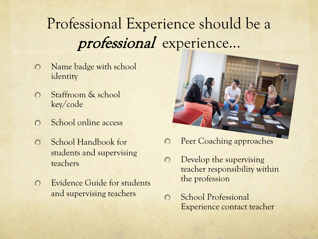## Professional Experience should be a professional experience...

- Name badge with school  $\Omega$ identity
- Staffroom & school  $\Omega$ key/code
- School online access  $\Omega$
- School Handbook for  $\Omega$ students and supervising teachers
- Evidence Guide for students  $\Omega$ and supervising teachers



- Peer Coaching approaches  $\bigcirc$
- Develop the supervising  $\Omega$ teacher responsibility within the profession
- School Professional  $\bigcirc$ Experience contact teacher